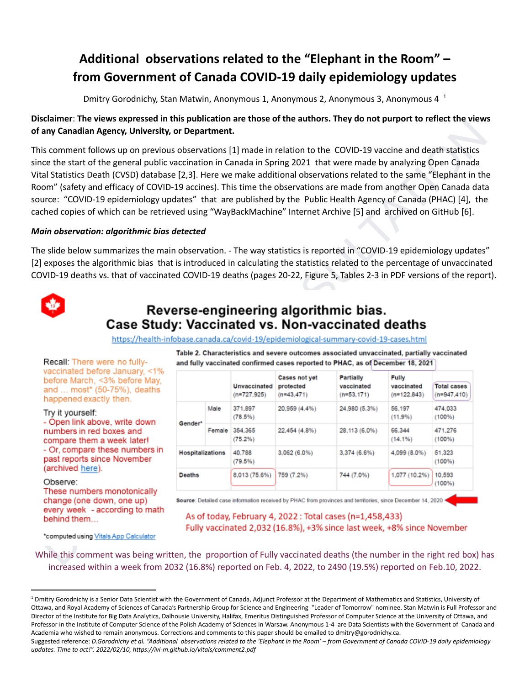# **Additional observations related to the "Elephant in the Room" – from Government of Canada COVID-19 daily epidemiology updates**

Dmitry Gorodnichy, Stan Matwin, Anonymous 1, Anonymous 2, Anonymous 3, Anonymous 4<sup>1</sup>

## Disclaimer: The views expressed in this publication are those of the authors. They do not purport to reflect the views **of any Canadian Agency, University, or Department.**

### *Main observation: algorithmic bias detected*



| is comment follows up on previous observations [1] made in relation to the COVID-19 vaccine and death statistics<br>ce the start of the general public vaccination in Canada in Spring 2021 that were made by analyzing Open Canada<br>al Statistics Death (CVSD) database [2,3]. Here we make additional observations related to the same "Elephant in the<br>om" (safety and efficacy of COVID-19 accines). This time the observations are made from another Open Canada data<br>urce: "COVID-19 epidemiology updates" that are published by the Public Health Agency of Canada (PHAC) [4], the<br>ched copies of which can be retrieved using "WayBackMachine" Internet Archive [5] and archived on GitHub [6]. |                         |        |                               |                                            |                                                                                            |                                      |                                      |
|--------------------------------------------------------------------------------------------------------------------------------------------------------------------------------------------------------------------------------------------------------------------------------------------------------------------------------------------------------------------------------------------------------------------------------------------------------------------------------------------------------------------------------------------------------------------------------------------------------------------------------------------------------------------------------------------------------------------|-------------------------|--------|-------------------------------|--------------------------------------------|--------------------------------------------------------------------------------------------|--------------------------------------|--------------------------------------|
| ain observation: algorithmic bias detected                                                                                                                                                                                                                                                                                                                                                                                                                                                                                                                                                                                                                                                                         |                         |        |                               |                                            |                                                                                            |                                      |                                      |
| exposes the algorithmic bias that is introduced in calculating the statistics related to the percentage of unvaccinated<br>VID-19 deaths vs. that of vaccinated COVID-19 deaths (pages 20-22, Figure 5, Tables 2-3 in PDF versions of the report).                                                                                                                                                                                                                                                                                                                                                                                                                                                                 |                         |        |                               |                                            | Reverse-engineering algorithmic bias.                                                      |                                      |                                      |
| Case Study: Vaccinated vs. Non-vaccinated deaths                                                                                                                                                                                                                                                                                                                                                                                                                                                                                                                                                                                                                                                                   |                         |        |                               |                                            |                                                                                            |                                      |                                      |
| https://health-infobase.canada.ca/covid-19/epidemiological-summary-covid-19-cases.html                                                                                                                                                                                                                                                                                                                                                                                                                                                                                                                                                                                                                             |                         |        |                               |                                            | Table 2. Characteristics and severe outcomes associated unvaccinated, partially vaccinated |                                      |                                      |
| Recall: There were no fully-<br>vaccinated before January, <1%                                                                                                                                                                                                                                                                                                                                                                                                                                                                                                                                                                                                                                                     |                         |        |                               |                                            | and fully vaccinated confirmed cases reported to PHAC, as of December 18, 2021             |                                      |                                      |
| before March, <3% before May,<br>and  most* (50-75%), deaths                                                                                                                                                                                                                                                                                                                                                                                                                                                                                                                                                                                                                                                       |                         |        | Unvaccinated<br>$(n=727,925)$ | Cases not yet<br>protected<br>$(n=43,471)$ | Partially<br>vaccinated<br>$(n=53, 171)$                                                   | Fully<br>vaccinated<br>$(n=122.843)$ | <b>Total cases</b><br>$(n=947, 410)$ |
| happened exactly then.<br>Try it yourself:                                                                                                                                                                                                                                                                                                                                                                                                                                                                                                                                                                                                                                                                         |                         | Male   | 371,897<br>(78.5%)            | 20,959 (4.4%)                              | 24,980 (5.3%)                                                                              | 56.197<br>(11.9%)                    | 474.033<br>(100%                     |
|                                                                                                                                                                                                                                                                                                                                                                                                                                                                                                                                                                                                                                                                                                                    | Gender*                 | Female | 354,365<br>(75.2%)            | 22,454 (4.8%)                              | 28,113 (6.0%)                                                                              | 66.344<br>(14.1%)                    | 471.276<br>(100%)                    |
| - Open link above, write down<br>numbers in red boxes and<br>compare them a week later!<br>- Or, compare these numbers in<br>past reports since November                                                                                                                                                                                                                                                                                                                                                                                                                                                                                                                                                           | <b>Hospitalizations</b> |        | 40,788<br>(79.5%)             | 3,062 (6.0%)                               | 3,374 (6.6%)                                                                               | 4,099 (8.0%)                         | 51,323<br>(100%                      |
| (archived here).<br>Observe:<br>These numbers monotonically                                                                                                                                                                                                                                                                                                                                                                                                                                                                                                                                                                                                                                                        | <b>Deaths</b>           |        | 8,013 (75.6%)                 | 759 (7.2%)                                 | 744 (7.0%)                                                                                 | 1,077 (10.2%)                        | 10,593<br>$(100\%)$                  |

While this comment was being written, the proportion of Fully vaccinated deaths (the number in the right red box) has increased within a week from 2032 (16.8%) reported on Feb. 4, 2022, to 2490 (19.5%) reported on Feb.10, 2022.

<sup>&</sup>lt;sup>1</sup> Dmitry Gorodnichy is a Senior Data Scientist with the Government of Canada, Adjunct Professor at the Department of Mathematics and Statistics, University of Ottawa, and Royal Academy of Sciences of Canada's Partnership Group for Science and Engineering "Leader of Tomorrow" nominee. Stan Matwin is Full Professor and Director of the Institute for Big Data Analytics, Dalhousie University, Halifax, Emeritus Distinguished Professor of Computer Science at the University of Ottawa, and Professor in the Institute of Computer Science of the Polish Academy of Sciences in Warsaw. Anonymous 1-4 are Data Scientists with the Government of Canada and Academia who wished to remain anonymous. Corrections and comments to this paper should be emailed to dmitry@gorodnichy.ca.

Suggested reference: D.Gorodnichy et al. "Additional observations related to the 'Elephant in the Room' - from Government of Canada COVID-19 daily epidemiology *updates. Time to act!". 2022/02/10, https://ivi-m.github.io/vitals/comment2.pdf*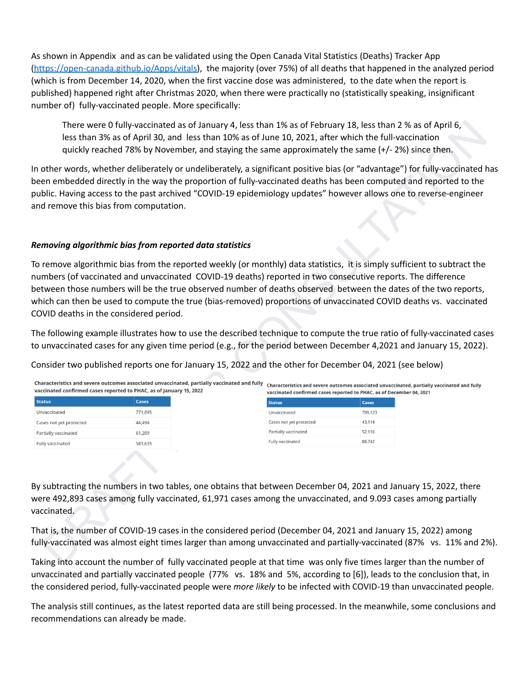As shown in Appendix and as can be validated using the Open Canada Vital Statistics (Deaths) Tracker App [\(https://open-canada.github.io/Apps/vitals\)](https://open-canada.github.io/Apps/vitals), the majority (over 75%) of all deaths that happened in the analyzed period (which is from December 14, 2020, when the first vaccine dose was administered, to the date when the report is published) happened right after Christmas 2020, when there were practically no (statistically speaking, insignificant number of) fully-vaccinated people. More specifically:

### *Removing algorithmic bias from reported data statistics*

|                                                                     |                                                                                             | There were 0 fully-vaccinated as of January 4, less than 1% as of February 18, less than 2 % as of April 6,<br>less than 3% as of April 30, and less than 10% as of June 10, 2021, after which the full-vaccination<br>quickly reached 78% by November, and staying the same approximately the same $(+/- 2%)$ since then.                                                                                                                                                       |                   |                                                                                             |
|---------------------------------------------------------------------|---------------------------------------------------------------------------------------------|----------------------------------------------------------------------------------------------------------------------------------------------------------------------------------------------------------------------------------------------------------------------------------------------------------------------------------------------------------------------------------------------------------------------------------------------------------------------------------|-------------------|---------------------------------------------------------------------------------------------|
| and remove this bias from computation.                              |                                                                                             | In other words, whether deliberately or undeliberately, a significant positive bias (or "advantage") for fully-vaccinated has<br>been embedded directly in the way the proportion of fully-vaccinated deaths has been computed and reported to the<br>public. Having access to the past archived "COVID-19 epidemiology updates" however allows one to reverse-engineer                                                                                                          |                   |                                                                                             |
|                                                                     | Removing algorithmic bias from reported data statistics                                     |                                                                                                                                                                                                                                                                                                                                                                                                                                                                                  |                   |                                                                                             |
| COVID deaths in the considered period.                              | Characteristics and severe outcomes associated unvaccinated, partially vaccinated and fully | which can then be used to compute the true (bias-removed) proportions of unvaccinated COVID deaths vs. vaccinated<br>The following example illustrates how to use the described technique to compute the true ratio of fully-vaccinated cases<br>to unvaccinated cases for any given time period (e.g., for the period between December 4,2021 and January 15, 2022).<br>Consider two published reports one for January 15, 2022 and the other for December 04, 2021 (see below) |                   | Characteristics and severe outcomes associated unvaccinated, partially vaccinated and fully |
| vaccinated confirmed cases reported to PHAC, as of January 15, 2022 |                                                                                             | vaccinated confirmed cases reported to PHAC, as of December 04, 2021                                                                                                                                                                                                                                                                                                                                                                                                             |                   |                                                                                             |
| <b>Status</b>                                                       | Cases                                                                                       | <b>Status</b>                                                                                                                                                                                                                                                                                                                                                                                                                                                                    | <b>Cases</b>      |                                                                                             |
| Unvaccinated                                                        | 771,095                                                                                     | Unvaccinated                                                                                                                                                                                                                                                                                                                                                                                                                                                                     | 709,123<br>43,114 |                                                                                             |
|                                                                     |                                                                                             |                                                                                                                                                                                                                                                                                                                                                                                                                                                                                  |                   |                                                                                             |
| Cases not yet protected                                             | 44,494                                                                                      | Cases not yet protected                                                                                                                                                                                                                                                                                                                                                                                                                                                          |                   |                                                                                             |
| Partially vaccinated<br>Fully vaccinated                            | 61,209<br>581,635                                                                           | Partially vaccinated<br><b>Fully vaccinated</b>                                                                                                                                                                                                                                                                                                                                                                                                                                  | 52,116<br>88,742  |                                                                                             |
| vaccinated.                                                         |                                                                                             | By subtracting the numbers in two tables, one obtains that between December 04, 2021 and January 15, 2022, there<br>were 492,893 cases among fully vaccinated, 61,971 cases among the unvaccinated, and 9.093 cases among partially                                                                                                                                                                                                                                              |                   |                                                                                             |

Taking into account the number of fully vaccinated people at that time was only five times larger than the number of unvaccinated and partially vaccinated people (77% vs. 18% and 5%, according to [6]), leads to the conclusion that, in the considered period, fully-vaccinated people were *more likely* to be infected with COVID-19 than unvaccinated people.

The analysis still continues, as the latest reported data are still being processed. In the meanwhile, some conclusions and recommendations can already be made.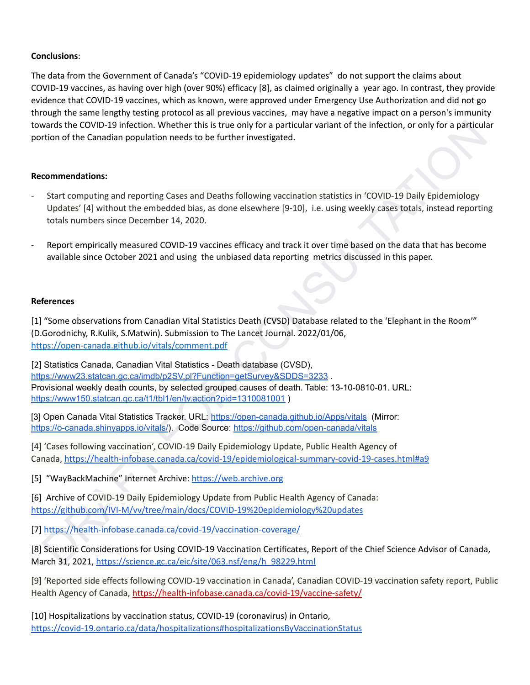### **Conclusions**:

The data from the Government of Canada's "COVID-19 epidemiology updates" do not support the claims about COVID-19 vaccines, as having over high (over 90%) efficacy [8], as claimed originally a year ago. In contrast, they provide evidence that COVID-19 vaccines, which as known, were approved under Emergency Use Authorization and did not go through the same lengthy testing protocol as all previous vaccines, may have a negative impact on a person's immunity towards the COVID-19 infection. Whether this is true only for a particular variant of the infection, or only for a particular portion of the Canadian population needs to be further investigated.

### **Recommendations:**

- Start computing and reporting Cases and Deaths following vaccination statistics in 'COVID-19 Daily Epidemiology Updates' [4] without the embedded bias, as done elsewhere [9-10], i.e. using weekly cases totals, instead reporting totals numbers since December 14, 2020.
- Report empirically measured COVID-19 vaccines efficacy and track it over time based on the data that has become available since October 2021 and using the unbiased data reporting metrics discussed in this paper.

#### **References**

[1] "Some observations from Canadian Vital Statistics Death (CVSD) Database related to the 'Elephant in the Room'" (D.Gorodnichy, R.Kulik, S.Matwin). Submission to The Lancet Journal. 2022/01/06, https://open-canada.github.io/vitals/comment.pdf

wards the C[O](https://www150.statcan.gc.ca/t1/tbl1/en/tv.action?pid=1310081001)VID-19 iniction. Whether this is true only for a particular variant of the infection, or only for a particular<br>then of the Canadian population needs to be further investigated.<br>
Start computing and reporting Ca [2] Statistics Canada, Canadian Vital Statistics - Death database (CVSD), https://www23.statcan.gc.ca/imdb/p2SV.pl?Function=getSurvey&SDDS=3233 Provisional weekly death counts, by selected grouped causes of death. Table: 13-10-0810-01. URL: https://www150.statcan.gc.ca/t1/tbl1/en/tv.action?pid=1310081001)

[3] Open Canada Vital Statistics Tracker. URL: https://open-canada.github.io/Apps/vitals (Mirror: https://o-canada.shinyapps.io/vitals/). Code Source: https://github.com/open-canada/vitals

[4] 'Cases following vaccination', COVID-19 Daily Epidemiology Update, Public Health Agency of Canada, https://health-infobase.canada.ca/covid-19/epidemiological-summary-covid-19-cases.html#a9

[5] "WayBackMachine" Internet Archive: https://web.archive.org

[6] Archive of COVID-19 Daily Epidemiology Update from Public Health Agency of Canada: https://github.com/IVI-M/vv/tree/main/docs/COVID-19%20epidemiology%20updates

[7] https://health-infobase.canada.ca/covid-19/vaccination-coverage/

[8] Scientific Considerations for Using COVID-19 Vaccination Certificates, Report of the Chief Science Advisor of Canada, March 31, 2021, https://science.gc.ca/eic/site/063.nsf/eng/h\_98229.html

[9] 'Reported side effects following COVID-19 vaccination in Canada', Canadian COVID-19 vaccination safety report, Public Health Agency of Canada, <https://health-infobase.canada.ca/covid-19/vaccine-safety/>

[10] Hospitalizations by vaccination status, COVID-19 (coronavirus) in Ontario, <https://covid-19.ontario.ca/data/hospitalizations#hospitalizationsByVaccinationStatus>